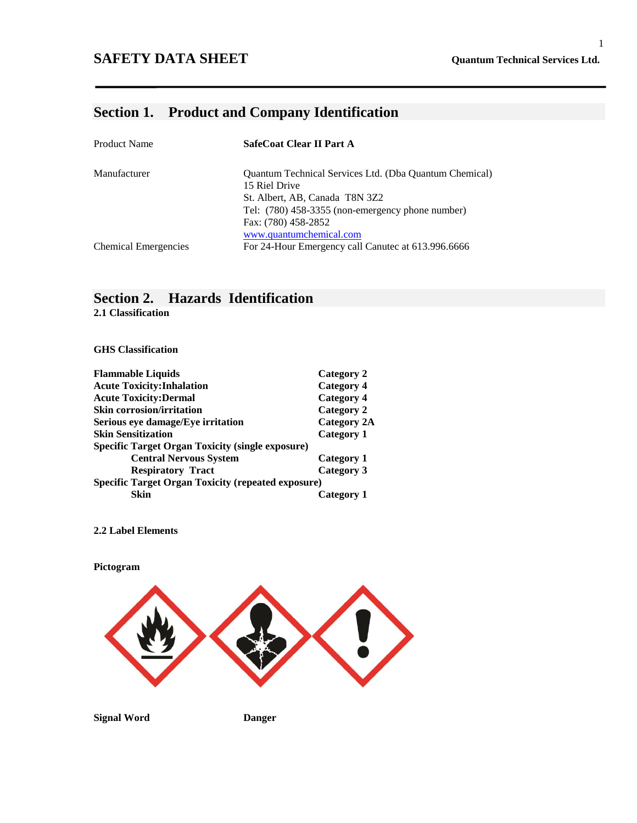# **Section 1. Product and Company Identification**

| <b>Product Name</b>         | SafeCoat Clear II Part A                                                |  |  |
|-----------------------------|-------------------------------------------------------------------------|--|--|
| Manufacturer                | Quantum Technical Services Ltd. (Dba Quantum Chemical)<br>15 Riel Drive |  |  |
|                             | St. Albert, AB, Canada T8N 3Z2                                          |  |  |
|                             | Tel: (780) 458-3355 (non-emergency phone number)                        |  |  |
|                             | Fax: (780) 458-2852                                                     |  |  |
|                             | www.quantumchemical.com                                                 |  |  |
| <b>Chemical Emergencies</b> | For 24-Hour Emergency call Canutec at 613.996.6666                      |  |  |

## **Section 2. Hazards Identification**

**2.1 Classification**

**GHS Classification**

| <b>Flammable Liquids</b>                                  | <b>Category 2</b>  |
|-----------------------------------------------------------|--------------------|
| <b>Acute Toxicity: Inhalation</b>                         | Category 4         |
| <b>Acute Toxicity: Dermal</b>                             | <b>Category 4</b>  |
| <b>Skin corrosion/irritation</b>                          | <b>Category 2</b>  |
| Serious eye damage/Eye irritation                         | <b>Category 2A</b> |
| <b>Skin Sensitization</b>                                 | <b>Category 1</b>  |
| <b>Specific Target Organ Toxicity (single exposure)</b>   |                    |
| <b>Central Nervous System</b>                             | Category 1         |
| <b>Respiratory Tract</b>                                  | Category 3         |
| <b>Specific Target Organ Toxicity (repeated exposure)</b> |                    |
| Skin                                                      | Category 1         |

**2.2 Label Elements**

**Pictogram**



**Signal Word Danger**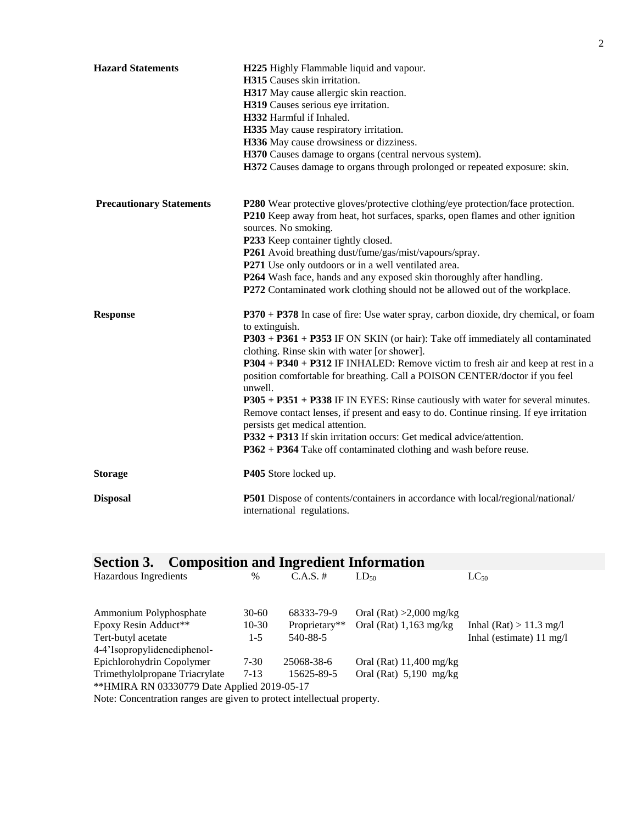| <b>Hazard Statements</b>        | H225 Highly Flammable liquid and vapour.<br>H315 Causes skin irritation.<br>H317 May cause allergic skin reaction.                                                        |  |  |  |  |
|---------------------------------|---------------------------------------------------------------------------------------------------------------------------------------------------------------------------|--|--|--|--|
|                                 |                                                                                                                                                                           |  |  |  |  |
|                                 |                                                                                                                                                                           |  |  |  |  |
|                                 | H319 Causes serious eye irritation.                                                                                                                                       |  |  |  |  |
|                                 | H332 Harmful if Inhaled.                                                                                                                                                  |  |  |  |  |
|                                 | H335 May cause respiratory irritation.                                                                                                                                    |  |  |  |  |
|                                 | H336 May cause drowsiness or dizziness.                                                                                                                                   |  |  |  |  |
|                                 | H370 Causes damage to organs (central nervous system).                                                                                                                    |  |  |  |  |
|                                 | H372 Causes damage to organs through prolonged or repeated exposure: skin.                                                                                                |  |  |  |  |
| <b>Precautionary Statements</b> | <b>P280</b> Wear protective gloves/protective clothing/eye protection/face protection.                                                                                    |  |  |  |  |
|                                 | P210 Keep away from heat, hot surfaces, sparks, open flames and other ignition<br>sources. No smoking.                                                                    |  |  |  |  |
|                                 | P233 Keep container tightly closed.                                                                                                                                       |  |  |  |  |
|                                 | P261 Avoid breathing dust/fume/gas/mist/vapours/spray.                                                                                                                    |  |  |  |  |
|                                 | P271 Use only outdoors or in a well ventilated area.                                                                                                                      |  |  |  |  |
|                                 | P264 Wash face, hands and any exposed skin thoroughly after handling.                                                                                                     |  |  |  |  |
|                                 | P272 Contaminated work clothing should not be allowed out of the workplace.                                                                                               |  |  |  |  |
| <b>Response</b>                 | P370 + P378 In case of fire: Use water spray, carbon dioxide, dry chemical, or foam<br>to extinguish.                                                                     |  |  |  |  |
|                                 | P303 + P361 + P353 IF ON SKIN (or hair): Take off immediately all contaminated<br>clothing. Rinse skin with water [or shower].                                            |  |  |  |  |
|                                 | P304 + P340 + P312 IF INHALED: Remove victim to fresh air and keep at rest in a<br>position comfortable for breathing. Call a POISON CENTER/doctor if you feel<br>unwell. |  |  |  |  |
|                                 | P305 + P351 + P338 IF IN EYES: Rinse cautiously with water for several minutes.                                                                                           |  |  |  |  |
|                                 | Remove contact lenses, if present and easy to do. Continue rinsing. If eye irritation<br>persists get medical attention.                                                  |  |  |  |  |
|                                 | P332 + P313 If skin irritation occurs: Get medical advice/attention.                                                                                                      |  |  |  |  |
|                                 | P362 + P364 Take off contaminated clothing and wash before reuse.                                                                                                         |  |  |  |  |
| <b>Storage</b>                  | P405 Store locked up.                                                                                                                                                     |  |  |  |  |
| <b>Disposal</b>                 | P501 Dispose of contents/containers in accordance with local/regional/national/<br>international regulations.                                                             |  |  |  |  |

| Section 3. Composition and Ingredient Information |           |               |                           |                                    |
|---------------------------------------------------|-----------|---------------|---------------------------|------------------------------------|
| Hazardous Ingredients                             | $\%$      | $C.A.S. \#$   | $LD_{50}$                 | $LC_{50}$                          |
|                                                   |           |               |                           |                                    |
| Ammonium Polyphosphate                            | $30 - 60$ | 68333-79-9    | Oral (Rat) $>2,000$ mg/kg |                                    |
| Epoxy Resin Adduct**                              | $10 - 30$ | Proprietary** | Oral (Rat) $1,163$ mg/kg  | Inhal $(Rat) > 11.3$ mg/l          |
| Tert-butyl acetate                                | $1 - 5$   | 540-88-5      |                           | Inhal (estimate) $11 \text{ mg/l}$ |

Trimethylolpropane Triacrylate 7-13 15625-89-5 Oral (Rat) 5,190 mg/kg \*\*HMIRA RN 03330779 Date Applied 2019-05-17

4-4'Isopropylidenediphenol-

Note: Concentration ranges are given to protect intellectual property.

Epichlorohydrin Copolymer 7-30 25068-38-6 Oral (Rat) 11,400 mg/kg<br>Trimethylolpropane Triacrylate 7-13 15625-89-5 Oral (Rat) 5,190 mg/kg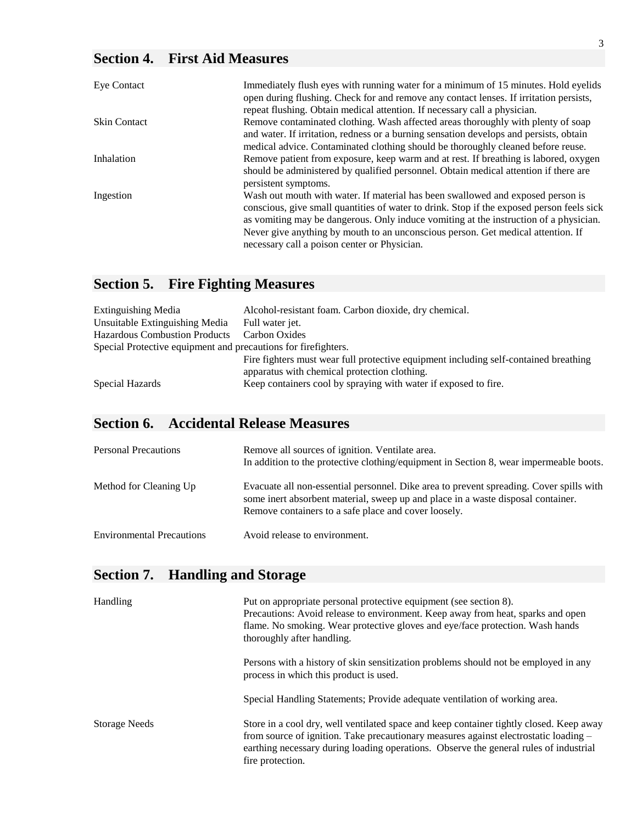### **Section 4. First Aid Measures**

| Eye Contact         | Immediately flush eyes with running water for a minimum of 15 minutes. Hold eyelids       |
|---------------------|-------------------------------------------------------------------------------------------|
|                     | open during flushing. Check for and remove any contact lenses. If irritation persists,    |
|                     | repeat flushing. Obtain medical attention. If necessary call a physician.                 |
| <b>Skin Contact</b> | Remove contaminated clothing. Wash affected areas thoroughly with plenty of soap          |
|                     | and water. If irritation, redness or a burning sensation develops and persists, obtain    |
|                     | medical advice. Contaminated clothing should be thoroughly cleaned before reuse.          |
| Inhalation          | Remove patient from exposure, keep warm and at rest. If breathing is labored, oxygen      |
|                     | should be administered by qualified personnel. Obtain medical attention if there are      |
|                     | persistent symptoms.                                                                      |
| Ingestion           | Wash out mouth with water. If material has been swallowed and exposed person is           |
|                     | conscious, give small quantities of water to drink. Stop if the exposed person feels sick |
|                     | as vomiting may be dangerous. Only induce vomiting at the instruction of a physician.     |
|                     | Never give anything by mouth to an unconscious person. Get medical attention. If          |
|                     | necessary call a poison center or Physician.                                              |

# **Section 5. Fire Fighting Measures**

| Extinguishing Media                                            | Alcohol-resistant foam. Carbon dioxide, dry chemical.                                                                                |  |  |
|----------------------------------------------------------------|--------------------------------------------------------------------------------------------------------------------------------------|--|--|
| Unsuitable Extinguishing Media                                 | Full water jet.                                                                                                                      |  |  |
| <b>Hazardous Combustion Products</b>                           | Carbon Oxides                                                                                                                        |  |  |
| Special Protective equipment and precautions for firefighters. |                                                                                                                                      |  |  |
|                                                                | Fire fighters must wear full protective equipment including self-contained breathing<br>apparatus with chemical protection clothing. |  |  |
| Special Hazards                                                | Keep containers cool by spraying with water if exposed to fire.                                                                      |  |  |

## **Section 6. Accidental Release Measures**

| <b>Personal Precautions</b>      | Remove all sources of ignition. Ventilate area.<br>In addition to the protective clothing/equipment in Section 8, wear impermeable boots.                                                                                           |
|----------------------------------|-------------------------------------------------------------------------------------------------------------------------------------------------------------------------------------------------------------------------------------|
| Method for Cleaning Up           | Evacuate all non-essential personnel. Dike area to prevent spreading. Cover spills with<br>some inert absorbent material, sweep up and place in a waste disposal container.<br>Remove containers to a safe place and cover loosely. |
| <b>Environmental Precautions</b> | Avoid release to environment.                                                                                                                                                                                                       |

# **Section 7. Handling and Storage**

| Handling             | Put on appropriate personal protective equipment (see section 8).<br>Precautions: Avoid release to environment. Keep away from heat, sparks and open<br>flame. No smoking. Wear protective gloves and eye/face protection. Wash hands<br>thoroughly after handling.                          |  |
|----------------------|----------------------------------------------------------------------------------------------------------------------------------------------------------------------------------------------------------------------------------------------------------------------------------------------|--|
|                      | Persons with a history of skin sensitization problems should not be employed in any<br>process in which this product is used.                                                                                                                                                                |  |
|                      | Special Handling Statements; Provide adequate ventilation of working area.                                                                                                                                                                                                                   |  |
| <b>Storage Needs</b> | Store in a cool dry, well ventilated space and keep container tightly closed. Keep away<br>from source of ignition. Take precautionary measures against electrostatic loading –<br>earthing necessary during loading operations. Observe the general rules of industrial<br>fire protection. |  |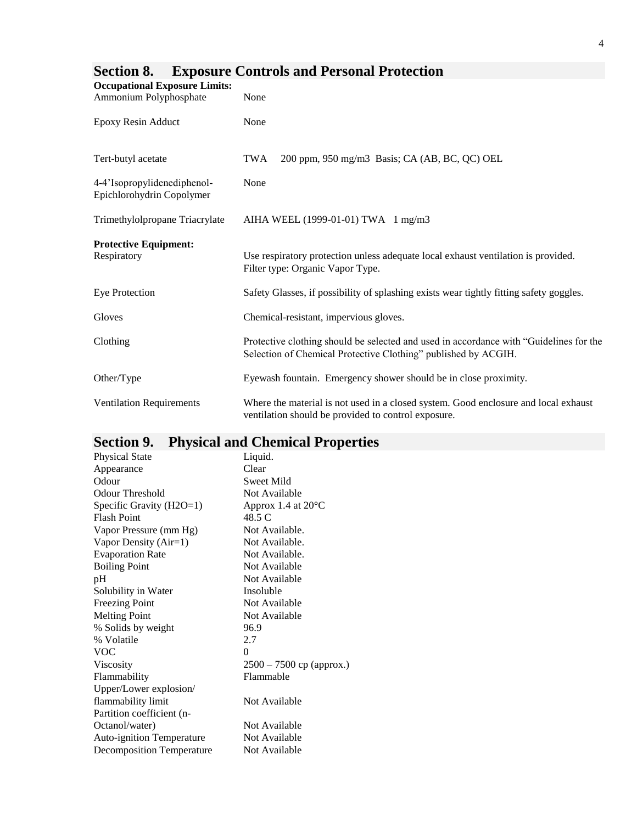#### **Section 8. Exposure Controls and Personal Protection**

| <b>Occupational Exposure Limits:</b><br>Ammonium Polyphosphate | None                                                                                                                                                     |
|----------------------------------------------------------------|----------------------------------------------------------------------------------------------------------------------------------------------------------|
| Epoxy Resin Adduct                                             | None                                                                                                                                                     |
| Tert-butyl acetate                                             | 200 ppm, 950 mg/m3 Basis; CA (AB, BC, QC) OEL<br>TWA                                                                                                     |
| 4-4'Isopropylidenediphenol-<br>Epichlorohydrin Copolymer       | None                                                                                                                                                     |
| Trimethylolpropane Triacrylate                                 | AIHA WEEL (1999-01-01) TWA 1 mg/m3                                                                                                                       |
| <b>Protective Equipment:</b><br>Respiratory                    | Use respiratory protection unless adequate local exhaust ventilation is provided.<br>Filter type: Organic Vapor Type.                                    |
| <b>Eye Protection</b>                                          | Safety Glasses, if possibility of splashing exists wear tightly fitting safety goggles.                                                                  |
| Gloves                                                         | Chemical-resistant, impervious gloves.                                                                                                                   |
| Clothing                                                       | Protective clothing should be selected and used in accordance with "Guidelines for the<br>Selection of Chemical Protective Clothing" published by ACGIH. |
| Other/Type                                                     | Eyewash fountain. Emergency shower should be in close proximity.                                                                                         |
| <b>Ventilation Requirements</b>                                | Where the material is not used in a closed system. Good enclosure and local exhaust<br>ventilation should be provided to control exposure.               |

# **Section 9. Physical and Chemical Properties**

| Liquid.                      |
|------------------------------|
| Clear                        |
| Sweet Mild                   |
| Not Available                |
| Approx 1.4 at $20^{\circ}$ C |
| 48.5 C                       |
| Not Available.               |
| Not Available.               |
| Not Available.               |
| Not Available                |
| Not Available                |
| Insoluble                    |
| Not Available                |
| Not Available                |
| 96.9                         |
| 2.7                          |
| $\Omega$                     |
| $2500 - 7500$ cp (approx.)   |
| Flammable                    |
|                              |
| Not Available                |
|                              |
| Not Available                |
| Not Available                |
| Not Available                |
|                              |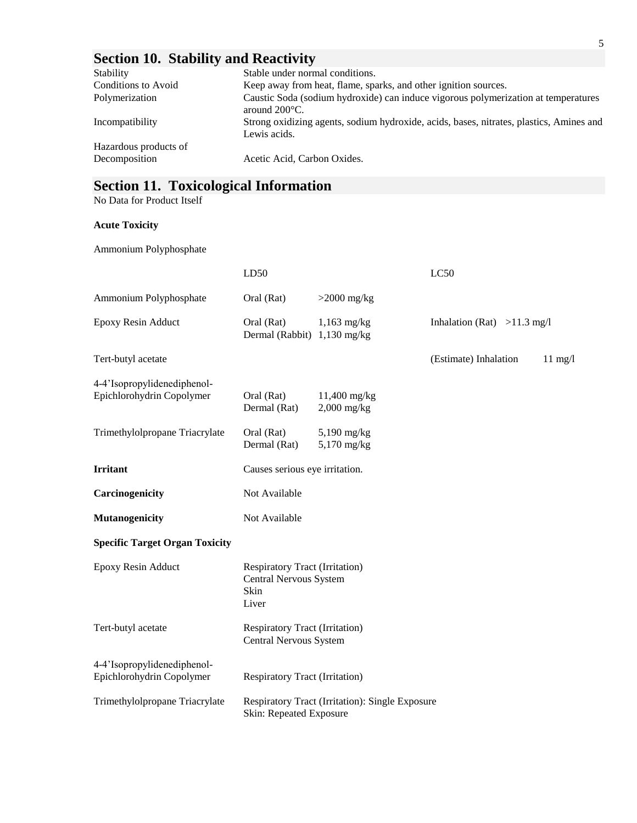# **Section 10. Stability and Reactivity**

| Stability             | Stable under normal conditions.                                                                               |
|-----------------------|---------------------------------------------------------------------------------------------------------------|
| Conditions to Avoid   | Keep away from heat, flame, sparks, and other ignition sources.                                               |
| Polymerization        | Caustic Soda (sodium hydroxide) can induce vigorous polymerization at temperatures<br>around $200^{\circ}$ C. |
| Incompatibility       | Strong oxidizing agents, sodium hydroxide, acids, bases, nitrates, plastics, Amines and<br>Lewis acids.       |
| Hazardous products of |                                                                                                               |
| Decomposition         | Acetic Acid, Carbon Oxides.                                                                                   |

#### **Section 11. Toxicological Information**

No Data for Product Itself

#### **Acute Toxicity**

Ammonium Polyphosphate

|                                                          | LD50                                                                              |                                         | LC50                                       |  |
|----------------------------------------------------------|-----------------------------------------------------------------------------------|-----------------------------------------|--------------------------------------------|--|
| Ammonium Polyphosphate                                   | Oral (Rat)                                                                        | $>2000$ mg/kg                           |                                            |  |
| Epoxy Resin Adduct                                       | Oral (Rat)<br>Dermal (Rabbit) 1,130 mg/kg                                         | $1,163$ mg/kg                           | Inhalation (Rat) $>11.3$ mg/l              |  |
| Tert-butyl acetate                                       |                                                                                   |                                         | (Estimate) Inhalation<br>$11 \text{ mg}/l$ |  |
| 4-4'Isopropylidenediphenol-<br>Epichlorohydrin Copolymer | Oral (Rat)<br>Dermal (Rat)                                                        | $11,400 \text{ mg/kg}$<br>$2,000$ mg/kg |                                            |  |
| Trimethylolpropane Triacrylate                           | Oral (Rat)<br>Dermal (Rat)                                                        | $5,190$ mg/kg<br>$5,170$ mg/kg          |                                            |  |
| <b>Irritant</b>                                          | Causes serious eye irritation.                                                    |                                         |                                            |  |
| Carcinogenicity                                          | Not Available                                                                     |                                         |                                            |  |
| <b>Mutanogenicity</b>                                    | Not Available                                                                     |                                         |                                            |  |
| <b>Specific Target Organ Toxicity</b>                    |                                                                                   |                                         |                                            |  |
| <b>Epoxy Resin Adduct</b>                                | <b>Respiratory Tract (Irritation)</b><br>Central Nervous System<br>Skin<br>Liver  |                                         |                                            |  |
| Tert-butyl acetate                                       | <b>Respiratory Tract (Irritation)</b><br>Central Nervous System                   |                                         |                                            |  |
| 4-4'Isopropylidenediphenol-<br>Epichlorohydrin Copolymer | <b>Respiratory Tract (Irritation)</b>                                             |                                         |                                            |  |
| Trimethylolpropane Triacrylate                           | <b>Respiratory Tract (Irritation): Single Exposure</b><br>Skin: Repeated Exposure |                                         |                                            |  |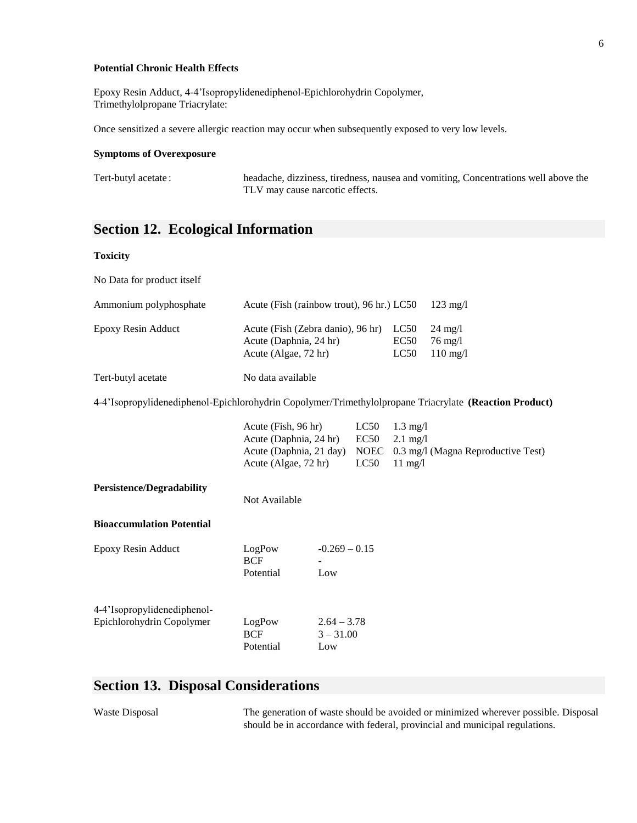#### **Potential Chronic Health Effects**

Epoxy Resin Adduct, 4-4'Isopropylidenediphenol-Epichlorohydrin Copolymer, Trimethylolpropane Triacrylate:

Once sensitized a severe allergic reaction may occur when subsequently exposed to very low levels.

#### **Symptoms of Overexposure**

Tert-butyl acetate : headache, dizziness, tiredness, nausea and vomiting, Concentrations well above the TLV may cause narcotic effects.

#### **Section 12. Ecological Information**

#### **Toxicity**

| No Data for product itself                                                                             |                                                                                                  |                                     |                              |                                                               |                                    |
|--------------------------------------------------------------------------------------------------------|--------------------------------------------------------------------------------------------------|-------------------------------------|------------------------------|---------------------------------------------------------------|------------------------------------|
| Ammonium polyphosphate                                                                                 | Acute (Fish (rainbow trout), 96 hr.) LC50                                                        |                                     |                              | $123$ mg/l                                                    |                                    |
| Epoxy Resin Adduct                                                                                     | Acute (Fish (Zebra danio), 96 hr)<br>Acute (Daphnia, 24 hr)<br>Acute (Algae, 72 hr)              |                                     | LC50<br>EC50<br>LC50         | $24 \text{ mg}/l$<br>$76 \text{ mg}/l$<br>$110$ mg/l          |                                    |
| Tert-butyl acetate                                                                                     | No data available                                                                                |                                     |                              |                                                               |                                    |
| 4-4'Isopropylidenediphenol-Epichlorohydrin Copolymer/Trimethylolpropane Triacrylate (Reaction Product) |                                                                                                  |                                     |                              |                                                               |                                    |
|                                                                                                        | Acute (Fish, 96 hr)<br>Acute (Daphnia, 24 hr)<br>Acute (Daphnia, 21 day)<br>Acute (Algae, 72 hr) |                                     | LC50<br>EC50<br>NOEC<br>LC50 | $1.3 \text{ mg}/l$<br>$2.1 \text{ mg}/l$<br>$11 \text{ mg}/1$ | 0.3 mg/l (Magna Reproductive Test) |
| <b>Persistence/Degradability</b>                                                                       | Not Available                                                                                    |                                     |                              |                                                               |                                    |
| <b>Bioaccumulation Potential</b>                                                                       |                                                                                                  |                                     |                              |                                                               |                                    |
| Epoxy Resin Adduct                                                                                     | LogPow<br><b>BCF</b><br>Potential                                                                | $-0.269 - 0.15$<br>Low              |                              |                                                               |                                    |
| 4-4'Isopropylidenediphenol-<br>Epichlorohydrin Copolymer                                               | LogPow<br><b>BCF</b><br>Potential                                                                | $2.64 - 3.78$<br>$3 - 31.00$<br>Low |                              |                                                               |                                    |

### **Section 13. Disposal Considerations**

Waste Disposal The generation of waste should be avoided or minimized wherever possible. Disposal should be in accordance with federal, provincial and municipal regulations.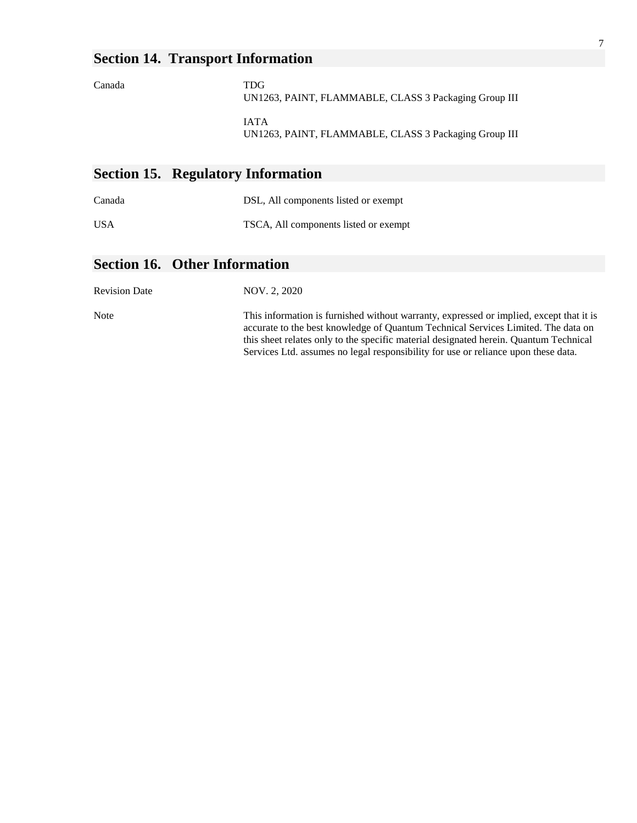#### **Section 14. Transport Information**

|        | <b>Section 15. Regulatory Information</b>                            |
|--------|----------------------------------------------------------------------|
|        | <b>JATA</b><br>UN1263, PAINT, FLAMMABLE, CLASS 3 Packaging Group III |
| Canada | <b>TDG</b><br>UN1263, PAINT, FLAMMABLE, CLASS 3 Packaging Group III  |

## Canada DSL, All components listed or exempt USA TSCA, All components listed or exempt

#### **Section 16. Other Information**

Revision Date NOV. 2, 2020

Note This information is furnished without warranty, expressed or implied, except that it is accurate to the best knowledge of Quantum Technical Services Limited. The data on this sheet relates only to the specific material designated herein. Quantum Technical Services Ltd. assumes no legal responsibility for use or reliance upon these data.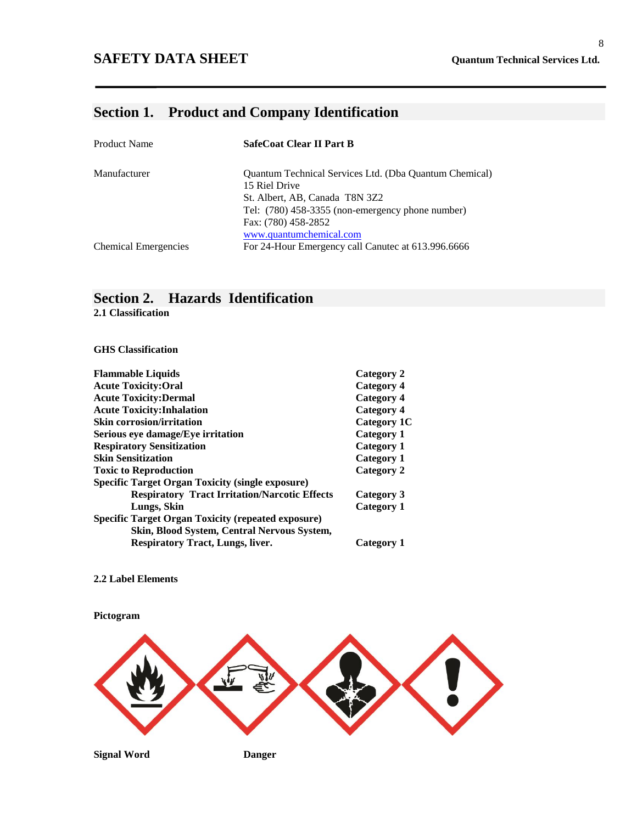8

# **Section 1. Product and Company Identification**

| <b>Product Name</b>         | <b>SafeCoat Clear II Part B</b>                                                |
|-----------------------------|--------------------------------------------------------------------------------|
| Manufacturer                | <b>Ouantum Technical Services Ltd. (Dba Quantum Chemical)</b><br>15 Riel Drive |
|                             | St. Albert, AB, Canada T8N 3Z2                                                 |
|                             | Tel: (780) 458-3355 (non-emergency phone number)                               |
|                             | Fax: (780) 458-2852                                                            |
|                             | www.quantumchemical.com                                                        |
| <b>Chemical Emergencies</b> | For 24-Hour Emergency call Canutec at 613.996.6666                             |

## **Section 2. Hazards Identification**

**2.1 Classification**

**GHS Classification**

| <b>Flammable Liquids</b>                                  | <b>Category 2</b> |
|-----------------------------------------------------------|-------------------|
| <b>Acute Toxicity:Oral</b>                                | Category 4        |
| <b>Acute Toxicity: Dermal</b>                             | <b>Category 4</b> |
| <b>Acute Toxicity: Inhalation</b>                         | <b>Category 4</b> |
| Skin corrosion/irritation                                 | Category 1C       |
| Serious eye damage/Eye irritation                         | Category 1        |
| <b>Respiratory Sensitization</b>                          | Category 1        |
| <b>Skin Sensitization</b>                                 | Category 1        |
| <b>Toxic to Reproduction</b>                              | Category 2        |
| <b>Specific Target Organ Toxicity (single exposure)</b>   |                   |
| <b>Respiratory Tract Irritation/Narcotic Effects</b>      | Category 3        |
| Lungs, Skin                                               | Category 1        |
| <b>Specific Target Organ Toxicity (repeated exposure)</b> |                   |
| Skin, Blood System, Central Nervous System,               |                   |
| <b>Respiratory Tract, Lungs, liver.</b>                   | Category 1        |

#### **2.2 Label Elements**

**Pictogram**



**Signal Word Danger**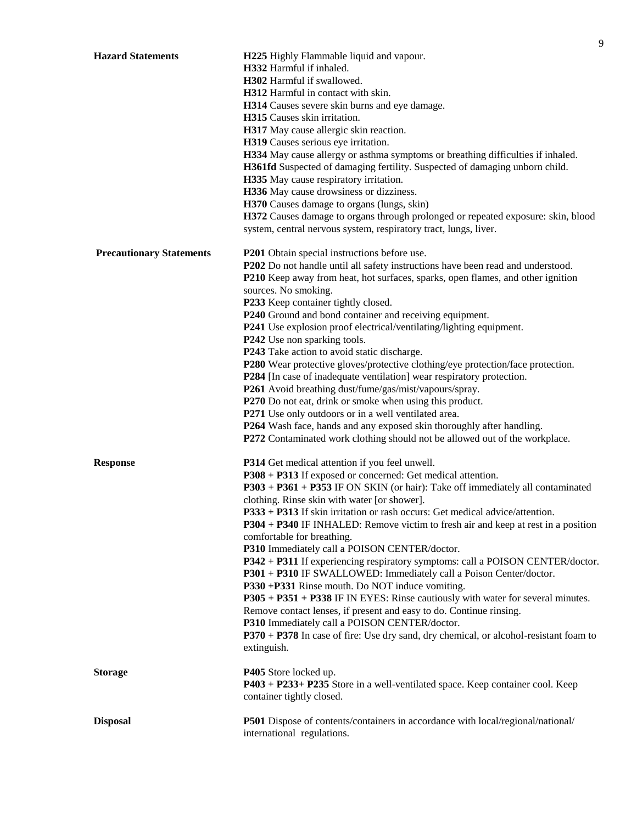|                                 |                                                                                                 | 9 |
|---------------------------------|-------------------------------------------------------------------------------------------------|---|
| <b>Hazard Statements</b>        | H225 Highly Flammable liquid and vapour.                                                        |   |
|                                 | H332 Harmful if inhaled.                                                                        |   |
|                                 | H302 Harmful if swallowed.                                                                      |   |
|                                 | H312 Harmful in contact with skin.                                                              |   |
|                                 | H314 Causes severe skin burns and eye damage.                                                   |   |
|                                 | H315 Causes skin irritation.                                                                    |   |
|                                 | H317 May cause allergic skin reaction.                                                          |   |
|                                 | H319 Causes serious eye irritation.                                                             |   |
|                                 | H334 May cause allergy or asthma symptoms or breathing difficulties if inhaled.                 |   |
|                                 | H361fd Suspected of damaging fertility. Suspected of damaging unborn child.                     |   |
|                                 | H335 May cause respiratory irritation.                                                          |   |
|                                 | H336 May cause drowsiness or dizziness.                                                         |   |
|                                 | H370 Causes damage to organs (lungs, skin)                                                      |   |
|                                 | H372 Causes damage to organs through prolonged or repeated exposure: skin, blood                |   |
|                                 | system, central nervous system, respiratory tract, lungs, liver.                                |   |
| <b>Precautionary Statements</b> | P201 Obtain special instructions before use.                                                    |   |
|                                 | P202 Do not handle until all safety instructions have been read and understood.                 |   |
|                                 | P210 Keep away from heat, hot surfaces, sparks, open flames, and other ignition                 |   |
|                                 | sources. No smoking.                                                                            |   |
|                                 | P233 Keep container tightly closed.                                                             |   |
|                                 | P240 Ground and bond container and receiving equipment.                                         |   |
|                                 | P241 Use explosion proof electrical/ventilating/lighting equipment.                             |   |
|                                 | P242 Use non sparking tools.                                                                    |   |
|                                 | P243 Take action to avoid static discharge.                                                     |   |
|                                 | P280 Wear protective gloves/protective clothing/eye protection/face protection.                 |   |
|                                 | P284 [In case of inadequate ventilation] wear respiratory protection.                           |   |
|                                 | P261 Avoid breathing dust/fume/gas/mist/vapours/spray.                                          |   |
|                                 | P270 Do not eat, drink or smoke when using this product.                                        |   |
|                                 | P271 Use only outdoors or in a well ventilated area.                                            |   |
|                                 | P264 Wash face, hands and any exposed skin thoroughly after handling.                           |   |
|                                 | P272 Contaminated work clothing should not be allowed out of the workplace.                     |   |
| <b>Response</b>                 | P314 Get medical attention if you feel unwell.                                                  |   |
|                                 | P308 + P313 If exposed or concerned: Get medical attention.                                     |   |
|                                 | P303 + P361 + P353 IF ON SKIN (or hair): Take off immediately all contaminated                  |   |
|                                 | clothing. Rinse skin with water [or shower].                                                    |   |
|                                 | P333 + P313 If skin irritation or rash occurs: Get medical advice/attention.                    |   |
|                                 | <b>P304</b> + <b>P340</b> IF INHALED: Remove victim to fresh air and keep at rest in a position |   |
|                                 | comfortable for breathing.                                                                      |   |
|                                 | P310 Immediately call a POISON CENTER/doctor.                                                   |   |
|                                 | P342 + P311 If experiencing respiratory symptoms: call a POISON CENTER/doctor.                  |   |
|                                 | P301 + P310 IF SWALLOWED: Immediately call a Poison Center/doctor.                              |   |
|                                 | P330 +P331 Rinse mouth. Do NOT induce vomiting.                                                 |   |
|                                 | P305 + P351 + P338 IF IN EYES: Rinse cautiously with water for several minutes.                 |   |
|                                 | Remove contact lenses, if present and easy to do. Continue rinsing.                             |   |
|                                 | P310 Immediately call a POISON CENTER/doctor.                                                   |   |
|                                 | P370 + P378 In case of fire: Use dry sand, dry chemical, or alcohol-resistant foam to           |   |
|                                 | extinguish.                                                                                     |   |
| <b>Storage</b>                  | P405 Store locked up.                                                                           |   |
|                                 | P403 + P233+ P235 Store in a well-ventilated space. Keep container cool. Keep                   |   |
|                                 | container tightly closed.                                                                       |   |
|                                 |                                                                                                 |   |
| <b>Disposal</b>                 | P501 Dispose of contents/containers in accordance with local/regional/national/                 |   |
|                                 | international regulations.                                                                      |   |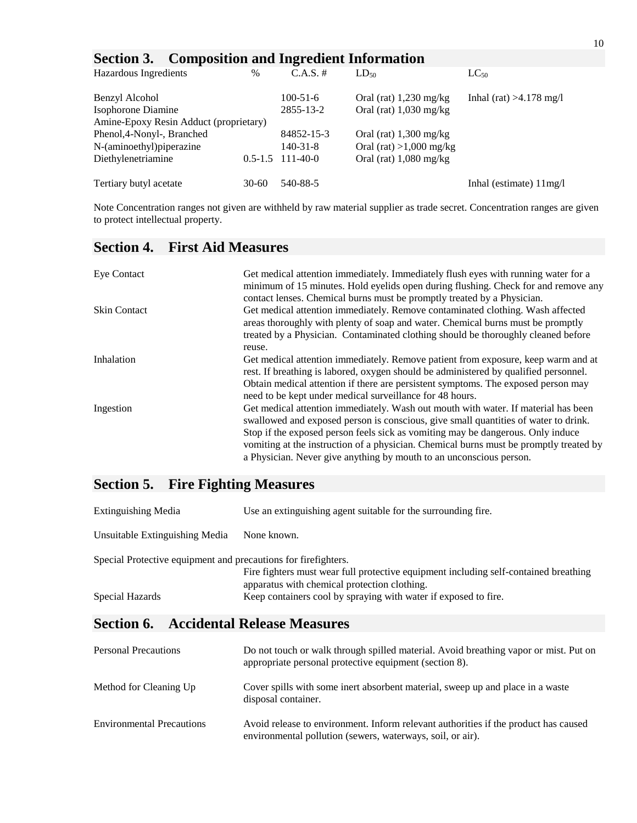| Section 3. Composition and Ingredient Information |           |                      |                           |                           |
|---------------------------------------------------|-----------|----------------------|---------------------------|---------------------------|
| Hazardous Ingredients                             | $\%$      | $C.A.S. \#$          | $LD_{50}$                 | $LC_{50}$                 |
| Benzyl Alcohol                                    |           | $100-51-6$           | Oral (rat) $1,230$ mg/kg  | Inhal (rat) $>4.178$ mg/l |
| Isophorone Diamine                                |           | 2855-13-2            | Oral (rat) $1,030$ mg/kg  |                           |
| Amine-Epoxy Resin Adduct (proprietary)            |           |                      |                           |                           |
| Phenol, 4-Nonyl-, Branched                        |           | 84852-15-3           | Oral (rat) $1,300$ mg/kg  |                           |
| N-(aminoethyl)piperazine                          |           | $140 - 31 - 8$       | Oral (rat) $>1,000$ mg/kg |                           |
| Diethylenetriamine                                |           | $0.5 - 1.5$ 111-40-0 | Oral (rat) $1,080$ mg/kg  |                           |
| Tertiary butyl acetate                            | $30 - 60$ | 540-88-5             |                           | Inhal (estimate) $11mg/l$ |

Note Concentration ranges not given are withheld by raw material supplier as trade secret. Concentration ranges are given to protect intellectual property.

| Eye Contact         | Get medical attention immediately. Immediately flush eyes with running water for a<br>minimum of 15 minutes. Hold eyelids open during flushing. Check for and remove any<br>contact lenses. Chemical burns must be promptly treated by a Physician.                                                                                                                                                                           |
|---------------------|-------------------------------------------------------------------------------------------------------------------------------------------------------------------------------------------------------------------------------------------------------------------------------------------------------------------------------------------------------------------------------------------------------------------------------|
| <b>Skin Contact</b> | Get medical attention immediately. Remove contaminated clothing. Wash affected<br>areas thoroughly with plenty of soap and water. Chemical burns must be promptly<br>treated by a Physician. Contaminated clothing should be thoroughly cleaned before                                                                                                                                                                        |
| Inhalation          | reuse.<br>Get medical attention immediately. Remove patient from exposure, keep warm and at<br>rest. If breathing is labored, oxygen should be administered by qualified personnel.<br>Obtain medical attention if there are persistent symptoms. The exposed person may<br>need to be kept under medical surveillance for 48 hours.                                                                                          |
| Ingestion           | Get medical attention immediately. Wash out mouth with water. If material has been<br>swallowed and exposed person is conscious, give small quantities of water to drink.<br>Stop if the exposed person feels sick as vomiting may be dangerous. Only induce<br>vomiting at the instruction of a physician. Chemical burns must be promptly treated by<br>a Physician. Never give anything by mouth to an unconscious person. |

# **Section 5. Fire Fighting Measures**

| Extinguishing Media                                            | Use an extinguishing agent suitable for the surrounding fire.                                                                        |
|----------------------------------------------------------------|--------------------------------------------------------------------------------------------------------------------------------------|
| Unsuitable Extinguishing Media                                 | None known.                                                                                                                          |
| Special Protective equipment and precautions for firefighters. |                                                                                                                                      |
|                                                                | Fire fighters must wear full protective equipment including self-contained breathing<br>apparatus with chemical protection clothing. |
| Special Hazards                                                | Keep containers cool by spraying with water if exposed to fire.                                                                      |

## **Section 6. Accidental Release Measures**

| <b>Personal Precautions</b>      | Do not touch or walk through spilled material. Avoid breathing vapor or mist. Put on<br>appropriate personal protective equipment (section 8).    |
|----------------------------------|---------------------------------------------------------------------------------------------------------------------------------------------------|
| Method for Cleaning Up           | Cover spills with some inert absorbent material, sweep up and place in a waste<br>disposal container.                                             |
| <b>Environmental Precautions</b> | Avoid release to environment. Inform relevant authorities if the product has caused<br>environmental pollution (sewers, waterways, soil, or air). |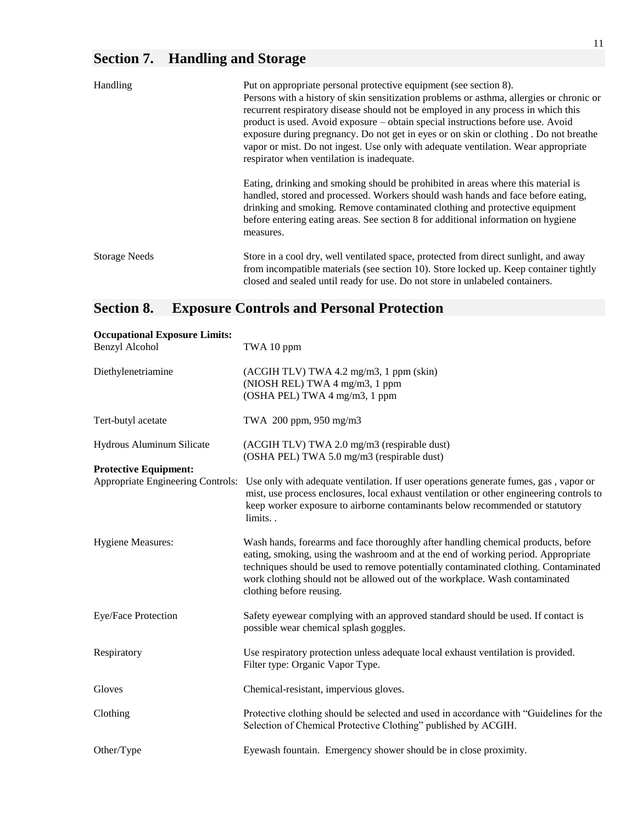# **Section 7. Handling and Storage**

| Handling             | Put on appropriate personal protective equipment (see section 8).<br>Persons with a history of skin sensitization problems or asthma, allergies or chronic or<br>recurrent respiratory disease should not be employed in any process in which this<br>product is used. Avoid exposure – obtain special instructions before use. Avoid<br>exposure during pregnancy. Do not get in eyes or on skin or clothing. Do not breather<br>vapor or mist. Do not ingest. Use only with adequate ventilation. Wear appropriate<br>respirator when ventilation is inadequate. |
|----------------------|--------------------------------------------------------------------------------------------------------------------------------------------------------------------------------------------------------------------------------------------------------------------------------------------------------------------------------------------------------------------------------------------------------------------------------------------------------------------------------------------------------------------------------------------------------------------|
|                      | Eating, drinking and smoking should be prohibited in areas where this material is<br>handled, stored and processed. Workers should wash hands and face before eating,<br>drinking and smoking. Remove contaminated clothing and protective equipment<br>before entering eating areas. See section 8 for additional information on hygiene<br>measures.                                                                                                                                                                                                             |
| <b>Storage Needs</b> | Store in a cool dry, well ventilated space, protected from direct sunlight, and away<br>from incompatible materials (see section 10). Store locked up. Keep container tightly<br>closed and sealed until ready for use. Do not store in unlabeled containers.                                                                                                                                                                                                                                                                                                      |

# **Section 8. Exposure Controls and Personal Protection**

| <b>Occupational Exposure Limits:</b><br>Benzyl Alcohol | TWA 10 ppm                                                                                                                                                                                                                                                                                                                                                               |
|--------------------------------------------------------|--------------------------------------------------------------------------------------------------------------------------------------------------------------------------------------------------------------------------------------------------------------------------------------------------------------------------------------------------------------------------|
| Diethylenetriamine                                     | (ACGIH TLV) TWA 4.2 mg/m3, 1 ppm (skin)<br>(NIOSH REL) TWA 4 mg/m3, 1 ppm<br>(OSHA PEL) TWA 4 mg/m3, 1 ppm                                                                                                                                                                                                                                                               |
| Tert-butyl acetate                                     | TWA 200 ppm, 950 mg/m3                                                                                                                                                                                                                                                                                                                                                   |
| Hydrous Aluminum Silicate                              | (ACGIH TLV) TWA 2.0 mg/m3 (respirable dust)<br>(OSHA PEL) TWA 5.0 mg/m3 (respirable dust)                                                                                                                                                                                                                                                                                |
| <b>Protective Equipment:</b>                           |                                                                                                                                                                                                                                                                                                                                                                          |
|                                                        | Appropriate Engineering Controls: Use only with adequate ventilation. If user operations generate fumes, gas, vapor or<br>mist, use process enclosures, local exhaust ventilation or other engineering controls to<br>keep worker exposure to airborne contaminants below recommended or statutory<br>limits                                                             |
| <b>Hygiene Measures:</b>                               | Wash hands, forearms and face thoroughly after handling chemical products, before<br>eating, smoking, using the washroom and at the end of working period. Appropriate<br>techniques should be used to remove potentially contaminated clothing. Contaminated<br>work clothing should not be allowed out of the workplace. Wash contaminated<br>clothing before reusing. |
| Eye/Face Protection                                    | Safety eyewear complying with an approved standard should be used. If contact is<br>possible wear chemical splash goggles.                                                                                                                                                                                                                                               |
| Respiratory                                            | Use respiratory protection unless adequate local exhaust ventilation is provided.<br>Filter type: Organic Vapor Type.                                                                                                                                                                                                                                                    |
| Gloves                                                 | Chemical-resistant, impervious gloves.                                                                                                                                                                                                                                                                                                                                   |
| Clothing                                               | Protective clothing should be selected and used in accordance with "Guidelines for the<br>Selection of Chemical Protective Clothing" published by ACGIH.                                                                                                                                                                                                                 |
| Other/Type                                             | Eyewash fountain. Emergency shower should be in close proximity.                                                                                                                                                                                                                                                                                                         |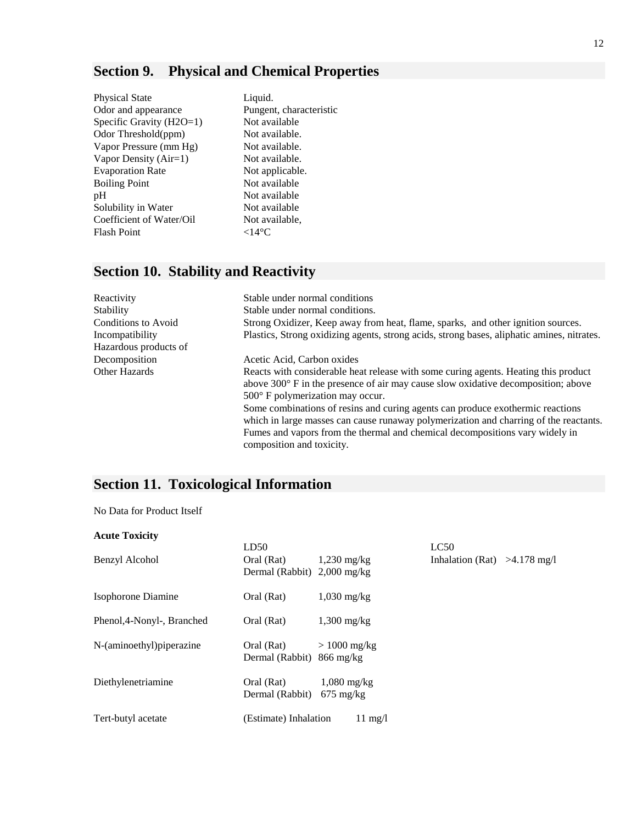## **Section 9. Physical and Chemical Properties**

| <b>Physical State</b>    | Liquid.                 |
|--------------------------|-------------------------|
| Odor and appearance      | Pungent, characteristic |
| Specific Gravity (H2O=1) | Not available           |
| Odor Threshold $(ppm)$   | Not available.          |
| Vapor Pressure (mm Hg)   | Not available.          |
| Vapor Density $(Air=1)$  | Not available.          |
| <b>Evaporation Rate</b>  | Not applicable.         |
| <b>Boiling Point</b>     | Not available           |
| рH                       | Not available           |
| Solubility in Water      | Not available           |
| Coefficient of Water/Oil | Not available,          |
| <b>Flash Point</b>       | $<14^{\circ}$ C         |
|                          |                         |

#### available. applicable. available available available available,

## **Section 10. Stability and Reactivity**

| Reactivity            | Stable under normal conditions                                                                                                                                                                                                                                                       |
|-----------------------|--------------------------------------------------------------------------------------------------------------------------------------------------------------------------------------------------------------------------------------------------------------------------------------|
| Stability             | Stable under normal conditions.                                                                                                                                                                                                                                                      |
| Conditions to Avoid   | Strong Oxidizer, Keep away from heat, flame, sparks, and other ignition sources.                                                                                                                                                                                                     |
| Incompatibility       | Plastics, Strong oxidizing agents, strong acids, strong bases, aliphatic amines, nitrates.                                                                                                                                                                                           |
| Hazardous products of |                                                                                                                                                                                                                                                                                      |
| Decomposition         | Acetic Acid, Carbon oxides                                                                                                                                                                                                                                                           |
| Other Hazards         | Reacts with considerable heat release with some curing agents. Heating this product<br>above $300^{\circ}$ F in the presence of air may cause slow oxidative decomposition; above<br>$500^\circ$ F polymerization may occur.                                                         |
|                       | Some combinations of resins and curing agents can produce exothermic reactions<br>which in large masses can cause runaway polymerization and charring of the reactants.<br>Fumes and vapors from the thermal and chemical decompositions vary widely in<br>composition and toxicity. |

### **Section 11. Toxicological Information**

No Data for Product Itself

| <b>Acute Toxicity</b>      |                                                             |                                      |                                        |  |
|----------------------------|-------------------------------------------------------------|--------------------------------------|----------------------------------------|--|
| <b>Benzyl Alcohol</b>      | LD50<br>Oral (Rat)<br>Dermal (Rabbit) $2,000 \text{ mg/kg}$ | $1,230 \text{ mg/kg}$                | LC50<br>Inhalation (Rat) $>4.178$ mg/l |  |
| Isophorone Diamine         | Oral (Rat)                                                  | $1,030$ mg/kg                        |                                        |  |
| Phenol, 4-Nonyl-, Branched | Oral (Rat)                                                  | $1,300$ mg/kg                        |                                        |  |
| N-(aminoethyl)piperazine   | Oral (Rat)<br>Dermal (Rabbit) 866 mg/kg                     | $> 1000$ mg/kg                       |                                        |  |
| Diethylenetriamine         | Oral (Rat)<br>Dermal (Rabbit)                               | $1,080$ mg/kg<br>$675 \text{ mg/kg}$ |                                        |  |
| Tert-butyl acetate         | (Estimate) Inhalation                                       | $11 \text{ mg}/l$                    |                                        |  |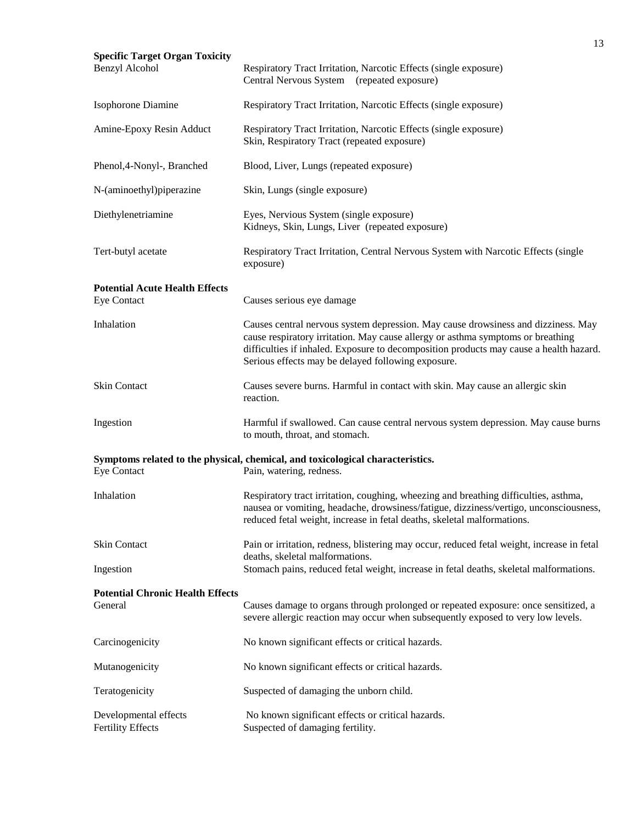|                                                             | 13                                                                                                                                                                                                                                                                                                                   |
|-------------------------------------------------------------|----------------------------------------------------------------------------------------------------------------------------------------------------------------------------------------------------------------------------------------------------------------------------------------------------------------------|
| <b>Specific Target Organ Toxicity</b><br>Benzyl Alcohol     | Respiratory Tract Irritation, Narcotic Effects (single exposure)<br>Central Nervous System (repeated exposure)                                                                                                                                                                                                       |
| Isophorone Diamine                                          | Respiratory Tract Irritation, Narcotic Effects (single exposure)                                                                                                                                                                                                                                                     |
| Amine-Epoxy Resin Adduct                                    | Respiratory Tract Irritation, Narcotic Effects (single exposure)<br>Skin, Respiratory Tract (repeated exposure)                                                                                                                                                                                                      |
| Phenol, 4-Nonyl-, Branched                                  | Blood, Liver, Lungs (repeated exposure)                                                                                                                                                                                                                                                                              |
| N-(aminoethyl)piperazine                                    | Skin, Lungs (single exposure)                                                                                                                                                                                                                                                                                        |
| Diethylenetriamine                                          | Eyes, Nervious System (single exposure)<br>Kidneys, Skin, Lungs, Liver (repeated exposure)                                                                                                                                                                                                                           |
| Tert-butyl acetate                                          | Respiratory Tract Irritation, Central Nervous System with Narcotic Effects (single<br>exposure)                                                                                                                                                                                                                      |
| <b>Potential Acute Health Effects</b><br><b>Eye Contact</b> | Causes serious eye damage                                                                                                                                                                                                                                                                                            |
| Inhalation                                                  | Causes central nervous system depression. May cause drowsiness and dizziness. May<br>cause respiratory irritation. May cause allergy or asthma symptoms or breathing<br>difficulties if inhaled. Exposure to decomposition products may cause a health hazard.<br>Serious effects may be delayed following exposure. |
| Skin Contact                                                | Causes severe burns. Harmful in contact with skin. May cause an allergic skin<br>reaction.                                                                                                                                                                                                                           |
| Ingestion                                                   | Harmful if swallowed. Can cause central nervous system depression. May cause burns<br>to mouth, throat, and stomach.                                                                                                                                                                                                 |
| <b>Eye Contact</b>                                          | Symptoms related to the physical, chemical, and toxicological characteristics.<br>Pain, watering, redness.                                                                                                                                                                                                           |
| Inhalation                                                  | Respiratory tract irritation, coughing, wheezing and breathing difficulties, asthma,<br>nausea or vomiting, headache, drowsiness/fatigue, dizziness/vertigo, unconsciousness,<br>reduced fetal weight, increase in fetal deaths, skeletal malformations.                                                             |
| <b>Skin Contact</b>                                         | Pain or irritation, redness, blistering may occur, reduced fetal weight, increase in fetal<br>deaths, skeletal malformations.                                                                                                                                                                                        |
| Ingestion                                                   | Stomach pains, reduced fetal weight, increase in fetal deaths, skeletal malformations.                                                                                                                                                                                                                               |
| <b>Potential Chronic Health Effects</b><br>General          | Causes damage to organs through prolonged or repeated exposure: once sensitized, a<br>severe allergic reaction may occur when subsequently exposed to very low levels.                                                                                                                                               |
| Carcinogenicity                                             | No known significant effects or critical hazards.                                                                                                                                                                                                                                                                    |
| Mutanogenicity                                              | No known significant effects or critical hazards.                                                                                                                                                                                                                                                                    |
| Teratogenicity                                              | Suspected of damaging the unborn child.                                                                                                                                                                                                                                                                              |
| Developmental effects<br><b>Fertility Effects</b>           | No known significant effects or critical hazards.<br>Suspected of damaging fertility.                                                                                                                                                                                                                                |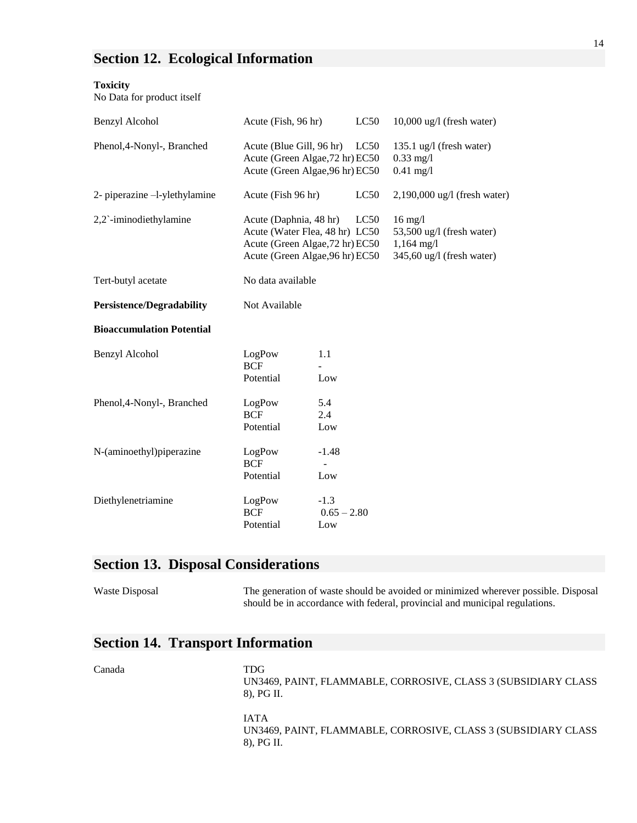#### **Section 12. Ecological Information**

**Toxicity**

| No Data for product itself       |                                                                                                                                |                                  |      |                                                                                     |
|----------------------------------|--------------------------------------------------------------------------------------------------------------------------------|----------------------------------|------|-------------------------------------------------------------------------------------|
| Benzyl Alcohol                   | Acute (Fish, 96 hr)                                                                                                            |                                  | LC50 | 10,000 ug/l (fresh water)                                                           |
| Phenol, 4-Nonyl-, Branched       | Acute (Blue Gill, 96 hr)<br>Acute (Green Algae, 72 hr) EC50<br>Acute (Green Algae, 96 hr) EC50                                 |                                  | LC50 | 135.1 ug/l (fresh water)<br>$0.33$ mg/l<br>$0.41$ mg/l                              |
| 2- piperazine -l-ylethylamine    | Acute (Fish 96 hr)                                                                                                             |                                  | LC50 | $2,190,000$ ug/l (fresh water)                                                      |
| 2,2`-iminodiethylamine           | Acute (Daphnia, 48 hr)<br>Acute (Water Flea, 48 hr) LC50<br>Acute (Green Algae, 72 hr) EC50<br>Acute (Green Algae, 96 hr) EC50 |                                  | LC50 | $16$ mg/l<br>53,500 ug/l (fresh water)<br>$1,164$ mg/l<br>345,60 ug/l (fresh water) |
| Tert-butyl acetate               | No data available                                                                                                              |                                  |      |                                                                                     |
| <b>Persistence/Degradability</b> | Not Available                                                                                                                  |                                  |      |                                                                                     |
| <b>Bioaccumulation Potential</b> |                                                                                                                                |                                  |      |                                                                                     |
| Benzyl Alcohol                   | LogPow<br><b>BCF</b><br>Potential                                                                                              | 1.1<br>Low                       |      |                                                                                     |
| Phenol, 4-Nonyl-, Branched       | LogPow<br><b>BCF</b><br>Potential                                                                                              | 5.4<br>2.4<br>Low                |      |                                                                                     |
| N-(aminoethyl)piperazine         | LogPow<br><b>BCF</b><br>Potential                                                                                              | $-1.48$<br>$\blacksquare$<br>Low |      |                                                                                     |
| Diethylenetriamine               | LogPow<br><b>BCF</b><br>Potential                                                                                              | $-1.3$<br>$0.65 - 2.80$<br>Low   |      |                                                                                     |

#### **Section 13. Disposal Considerations**

Waste Disposal The generation of waste should be avoided or minimized wherever possible. Disposal should be in accordance with federal, provincial and municipal regulations.

### **Section 14. Transport Information**

Canada TDG

UN3469, PAINT, FLAMMABLE, CORROSIVE, CLASS 3 (SUBSIDIARY CLASS 8), PG II.

IATA UN3469, PAINT, FLAMMABLE, CORROSIVE, CLASS 3 (SUBSIDIARY CLASS 8), PG II.